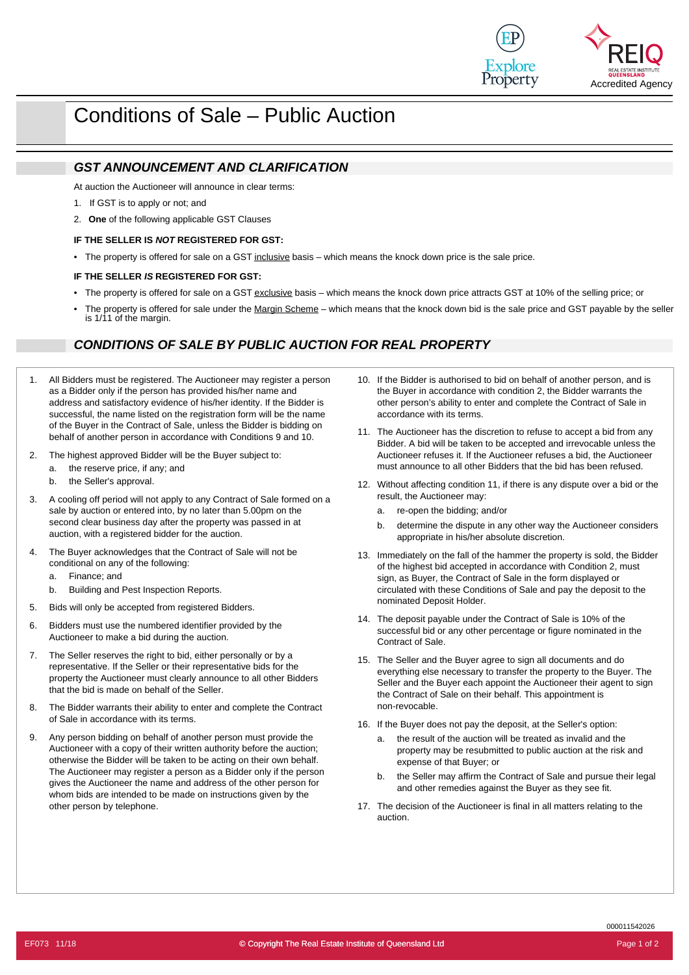

# Conditions of Sale – Public Auction

## *GST ANNOUNCEMENT AND CLARIFICATION*

At auction the Auctioneer will announce in clear terms:

- If GST is to apply or not; and 1.
- 2. **One** of the following applicable GST Clauses

#### **IF THE SELLER IS** *NOT* **REGISTERED FOR GST:**

The property is offered for sale on a GST inclusive basis – which means the knock down price is the sale price. *•*

#### **IF THE SELLER** *IS* **REGISTERED FOR GST:**

- The property is offered for sale on a GST exclusive basis which means the knock down price attracts GST at 10% of the selling price; or *•*
- The property is offered for sale under the Margin Scheme which means that the knock down bid is the sale price and GST payable by the seller *•* is 1/11 of the margin.

### *CONDITIONS OF SALE BY PUBLIC AUCTION FOR REAL PROPERTY*

- 1. All Bidders must be registered. The Auctioneer may register a person as a Bidder only if the person has provided his/her name and address and satisfactory evidence of his/her identity. If the Bidder is successful, the name listed on the registration form will be the name of the Buyer in the Contract of Sale, unless the Bidder is bidding on behalf of another person in accordance with Conditions 9 and 10.
- 2. The highest approved Bidder will be the Buyer subject to:
	- a. the reserve price, if any; and
	- b. the Seller's approval.
- 3. A cooling off period will not apply to any Contract of Sale formed on a sale by auction or entered into, by no later than 5.00pm on the second clear business day after the property was passed in at auction, with a registered bidder for the auction.
- 4. The Buyer acknowledges that the Contract of Sale will not be conditional on any of the following:
	- a. Finance; and
	- b. Building and Pest Inspection Reports.
- 5. Bids will only be accepted from registered Bidders.
- 6. Bidders must use the numbered identifier provided by the Auctioneer to make a bid during the auction.
- 7. The Seller reserves the right to bid, either personally or by a<br>15. The Seller and the Buyer agree to sign all documents and do 7. The Seller reserves the right to bid, either personally or by a representative. If the Seller or their representative bids for the property the Auctioneer must clearly announce to all other Bidders that the bid is made on behalf of the Seller.
- 8. The Bidder warrants their ability to enter and complete the Contract number of non-revocable. of Sale in accordance with its terms.
- 9. Any person bidding on behalf of another person must provide the Auctioneer with a copy of their written authority before the auction; otherwise the Bidder will be taken to be acting on their own behalf. The Auctioneer may register a person as a Bidder only if the person gives the Auctioneer the name and address of the other person for whom bids are intended to be made on instructions given by the other person by telephone.
- 10. If the Bidder is authorised to bid on behalf of another person, and is the Buyer in accordance with condition 2, the Bidder warrants the other person's ability to enter and complete the Contract of Sale in accordance with its terms.
- 11. The Auctioneer has the discretion to refuse to accept a bid from any Bidder. A bid will be taken to be accepted and irrevocable unless the Auctioneer refuses it. If the Auctioneer refuses a bid, the Auctioneer must announce to all other Bidders that the bid has been refused.
- 12. Without affecting condition 11, if there is any dispute over a bid or the result, the Auctioneer may:
	- a. re-open the bidding; and/or
	- b. determine the dispute in any other way the Auctioneer considers appropriate in his/her absolute discretion.
- 13. Immediately on the fall of the hammer the property is sold, the Bidder of the highest bid accepted in accordance with Condition 2, must sign, as Buyer, the Contract of Sale in the form displayed or circulated with these Conditions of Sale and pay the deposit to the nominated Deposit Holder.
- 14. The deposit payable under the Contract of Sale is 10% of the successful bid or any other percentage or figure nominated in the Contract of Sale.
- everything else necessary to transfer the property to the Buyer. The Seller and the Buyer each appoint the Auctioneer their agent to sign the Contract of Sale on their behalf. This appointment is
- If the Buyer does not pay the deposit, at the Seller's option: 16.
	- a. the result of the auction will be treated as invalid and the property may be resubmitted to public auction at the risk and expense of that Buyer; or
	- b. the Seller may affirm the Contract of Sale and pursue their legal and other remedies against the Buyer as they see fit.
- 17. The decision of the Auctioneer is final in all matters relating to the auction.